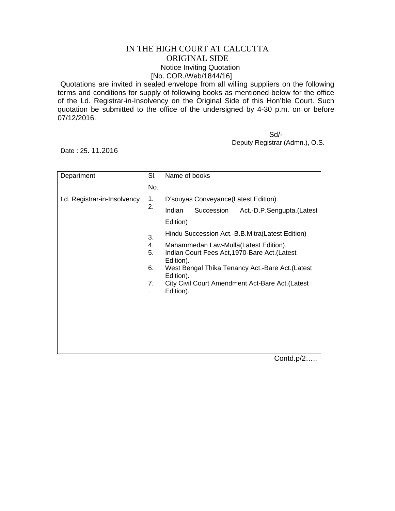## IN THE HIGH COURT AT CALCUTTA ORIGINAL SIDE Notice Inviting Quotation [No. COR./Web/1844/16]

Quotations are invited in sealed envelope from all willing suppliers on the following terms and conditions for supply of following books as mentioned below for the office of the Ld. Registrar-in-Insolvency on the Original Side of this Hon'ble Court. Such quotation be submitted to the office of the undersigned by 4-30 p.m. on or before 07/12/2016.

 Sd/- Deputy Registrar (Admn.), O.S.

Date : 25. 11.2016

| Department                  | SI.                  | Name of books                                                                                                                                                                                                                         |
|-----------------------------|----------------------|---------------------------------------------------------------------------------------------------------------------------------------------------------------------------------------------------------------------------------------|
|                             | No.                  |                                                                                                                                                                                                                                       |
| Ld. Registrar-in-Insolvency | 1.<br>2.             | D'souyas Conveyance(Latest Edition).                                                                                                                                                                                                  |
|                             |                      | Indian<br>Succession<br>Act.-D.P.Sengupta.(Latest                                                                                                                                                                                     |
|                             |                      | Edition)                                                                                                                                                                                                                              |
|                             | 3.                   | Hindu Succession Act.-B.B.Mitra(Latest Edition)                                                                                                                                                                                       |
|                             | 4.<br>5.<br>6.<br>7. | Mahammedan Law-Mulla(Latest Edition).<br>Indian Court Fees Act, 1970-Bare Act. (Latest<br>Edition).<br>West Bengal Thika Tenancy Act.-Bare Act. (Latest<br>Edition).<br>City Civil Court Amendment Act-Bare Act. (Latest<br>Edition). |

Contd.p/2…..